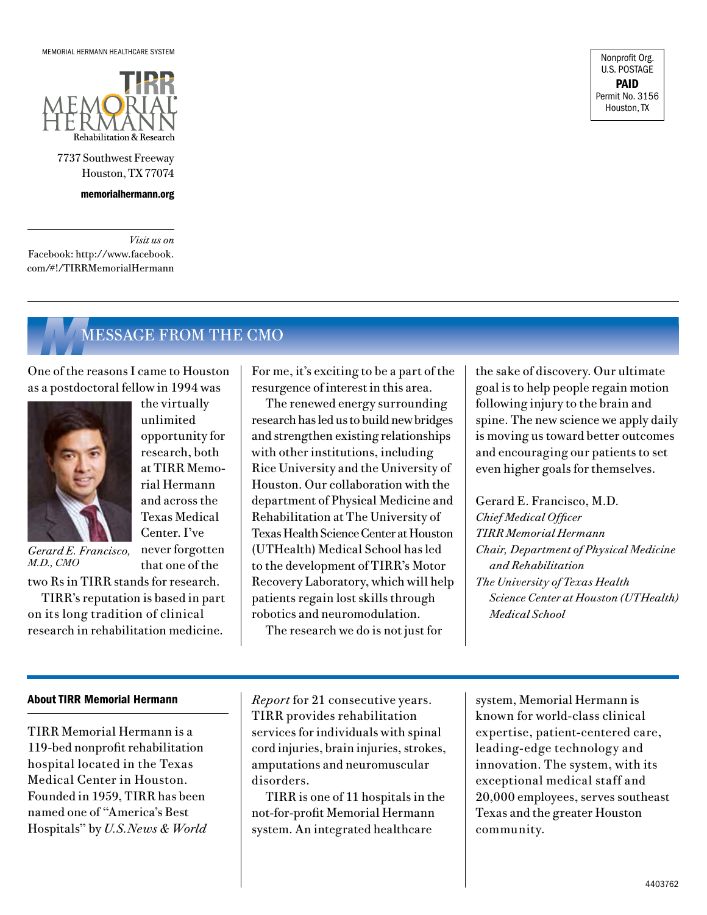

## WINTER 2011

- 2 MESSAGE FROM THE CEO **FEATURES**
- 1 TIRR Memorial Hermann Receives Funding to Support a New Spinal Cord Injury Rehabilitation Program
- 3 Two Thumbs Up for Logan Schaefer
- 4 Southwest ADA Center and SEDL Complete the Second in a Series of Research Studies on Disability and Employment Outcomes
- 5 Perceptions of Community Integration in an Ethnically Diverse Sample
- 6 The Role of Omega Fatty Acids in Neurological Recovery
- 7 TIRR IN THE NEWS
- 7 IN PRINT
- 8 ON THE MOVE
- 8 TIRR and Houston Metro Partner to Better Serve Riders with Disabilities
- 8 TIRR Memorial Hermann Hosts Inaugural Research Luncheon
- 8 Patient Care Unit Renovations Completed
- 9 ACCOLADES
- 10 ON THE PODIUM
- 12 MESSAGE FROM THE CMO

# TIRR Memorial Hermann Receives Funding to Support IN THIS ISSUE **Access 20 Institute Institute Institute In** THIS ISSUE IN THIS ISSUE

While patients undergoing rehabilitation following spinal cord injury (SCI) are traditionally taught compensatory techniques, emerging research indicates that intentional massed practice of activity-based training may promote cortical reorganization and recovery of arm function after SCI. With funding assistance from the Craig H. Neilsen Foundation as a match for financial support from the Staman Ogilvie Fund, TIRR Memorial Hermann is developing an intensive, functionbased initiative to promote upperextremity recovery after traumatic cervical spinal cord injury.

Known as Spinal Cord Injury Active Recovery of Movement (SCI-ARM), the program will use innovative technology and activity stations to promote upper-limb use after paralysis. "SCI-ARM is based on current, groundbreaking research,"



says Rhonda Abbott, P.T., director of therapy services. "We're seeing new evidence demonstrating the need for programs that

combine intensive activity-based training with standard rehabilitation protocols to promote the return of upper-extremity function. These programs rely on technology that promotes precise repetition of *Rhonda Abbott, P.T.*

movement and provides objective feedback that encourages motivation in our patients."

TIRR's SCI-ARM program revolves around two Hocoma Armeo® systems and six activity stations that will be run by 11 occupational therapists and two technicians. "The program will serve up to 12 cervical SCI



patients for at least one hour a day, five days a week," says rehabilitation manager Julie Jennings, P.T., N.C.S. "The therapy will be coupled with

*Julie Jennings, P.T., N.C.S.*

immediate activity of daily living training to optimize functional carryover."

"We are pleased that this innovative program will be based at TIRR," says Carl Josehart, CEO. "TIRR has been designated by the National Institute on Disability and Rehabilitation Research as a Model Spinal Cord Injury System Center since 1972, and we have served more than 300 individuals with cervical SCI in the past two years alone."

*Funding continues on page 7*

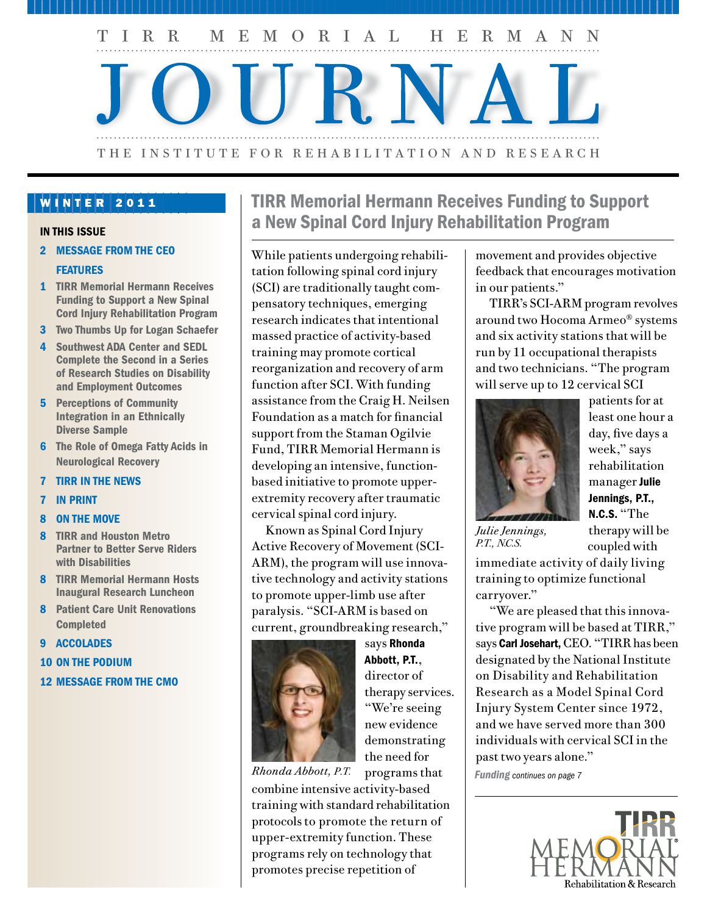Rhonda Abbott, P.T. *Director of Therapy Services Director of Clinical Programs*

Allison Clark, Ph.D. *Investigator Assistant Professor of Medicine, Baylor College of Medicine*

Lourdes Cuellar, R.Ph., F.A.S.H.P. *Administrative Director of Pharmacy and Clinical Support Services*

Teresa Del Castillo, L.C.S.W., L.M.F.T. *Licensed Clinical Social Worker Licensed Marriage and Family Therapist*

Mary Ann Euliarte, R.N., C.R.R.N. *Chief Nursing Officer*

Gerard E. Francisco, M.D. *Chief Medical Officer Chair of the Department of PM&R, The University of Texas Health Science Center at Houston (UTHealth) Medical School*

Ann Gutierrez, R.N., C.R.R.N. *Rehabilitation Nurse*

Julie Jennings, P.T., N.C.S. *Rehabilitation Manager Program Director for Spinal Cord Injury and Amputee Program*

Carl Josehart *TIRR CEO*

Cindy B. Ivanhoe, M.D. *Attending Physician, Brain Injury and Stroke Program Associate Professor of PM&R, Baylor College of Medicine Adjunct Associate Professor of PM&R, The* 

*University of Texas Health Science Center at Houston (UTHealth) Medical School*

Vinh Nguyen, J.D. *Director of Legal Research, DBTAC Southwest ADA Center*

Monique Pappadis, C.H.E.S., C.C.R.P. *Research Assistant, Brain Injury Research Center*

Angelle Sander, Ph.D. *Director, Brain Injury Research Center Associate Professor of PM&R, Baylor College of Medicine*

Christian Shenouda, M.D. *Former Resident*

Mark Sherer, Ph.D. *Senior Scientist Director of Research and Director of Neuropsychology Clinical Professor of PM&R, Baylor College of Medicine*

Barry S. Smith, M.D. *Consulting Physician*

Margaret Struchen, Ph.D. *Research Scientist Assistant Professor of PM&R, Baylor College of Medicine*

Wes Tidwell *Director of Hospital Operations*

Lisa Wenzel, M.D. *Attending Physician Assistant Professor of PM&R, Baylor College of Medicine*

Wendy Wilkinson, J.D. *Director, DBTAC Southwest ADA Center*

# FEATURED IN THIS ISSUE **A MESSAGE FROM THE CEO**

At TIRR Memorial Hermann we continue to drive innovation through the accomplishments of our researchers. Last year, we moved our research initiatives to a new level, going



beyond studies in traditional rehabilitation medicine to include research ranging from the spiritual wellbeing of our patients to the employment of

*Carl E. Josehart, CEO*

people with disabilities.

Research done on our Campus is conducted by physicians and scientists, and also by our therapists, nurses, chaplain and the residents who rely on us to advance their knowledge in specialized areas of rehabilitation medicine, even as they advance ours. In this issue, we report preliminary results in the second of three studies being conducted by our Independent Living Research Utilization program's DBTAC Southwest ADA Center. Funded by the National Institute on Disability and Rehabilitation Research, the study provides

*TIRR Memorial Hermann Journal* is published four times a year by TIRR Memorial Hermann. Please direct your comments or suggestions to Editor, *TIRR Memorial Hermann Journal*, TIRR Memorial Hermann, 1333 Moursund, Houston, TX 77030, 713.797.5946.

Carl E. Josehart, CEO

Gerard Francisco, M.D. Chief Medical Officer

Mary Ann Euliarte, R.N., C.R.R.N. Chief Nursing Officer /Chief Operations Officer

Mark Sherer, Ph.D. Director of Research

Editorial Staff

Kate Eller, Editor

Susan Thomas, TIRR Marketing

qualitative data on the careers of people with disabilities who work in the healthcare industry.

Led by principal investigator Angelle Sander, Ph.D., researchers at TIRR examined how perceptions of community integration following traumatic brain injury vary among racial and ethnic groups. In a metaanalysis conducted during his residency at TIRR, Christian Shenouda, M.D., hypothesized that omega fatty acids have the potential for broader use in the facilitation of neurological recovery.

Over the years, we've expanded our *Accolades*, *In Print* and *On the Podium* sections in the TIRR Journal. We're proud of the accomplishments of our staff members, which benefit individual patients like Logan Schaefer, whose remarkable recovery following traumatic brain injury is chronicled in this issue.

As we begin a new year, I'm grateful for the opportunity to work with such a talented and caring team.

Carl E. Josehart *Chief Executive Officer TIRR Memorial Hermann*

### Karen Kephart, Writer

Steve Stanley, Designer

Material in this publication may not be reproduced in whole or part without permission from TIRR Memorial Hermann.

### Winter 2011

*We have opportunities for outstanding rehabilitation professionals. If you are interested in joining our team at* U.S.News & World Report's *No. 5 rehabilitation hospital, contact Jude Lemaire, recruitment consultant, at 713.797.7281 or Jude.Lemaire@memorialhermann.org. All available opportunities can be viewed at memorialhermann.org.*

*www.tirr.org, www.ilru.org*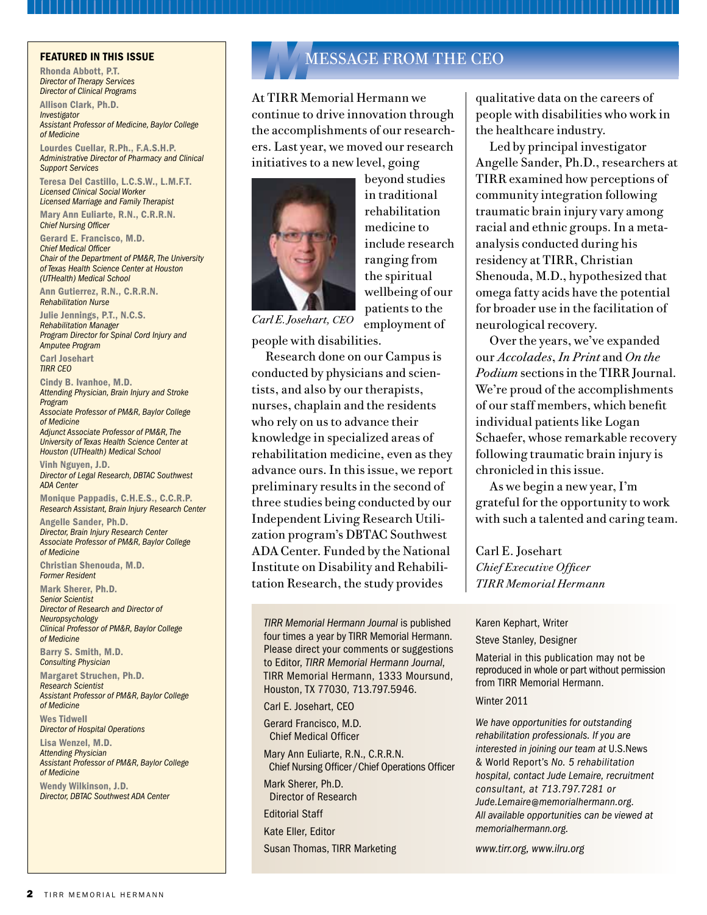## *F*FEATURES

# Two Thumbs Up for Logan Schaefer

Coach Vic Schaefer was making coffee in a hotel room in Cincinnati when he received the phone call every parent fears. It was 8:35 a.m. on July 12, 2010. The voice on the other end of the line was an emergency medicine specialist at East Texas Medical Center-Crockett, where his 14-year-old son Logan Schaefer had been transported following a wakeboarding accident. The physician told Schaefer that Logan was unconscious, unresponsive and seizing following a traumatic brain injury, and recommended emergency transport to East Texas Medical Center (ETMC)-Tyler, the closest hospital with a Level I trauma center.

Schaefer, who is the women's associate head basketball coach at Texas A&M University, cut short his Ohio recruiting trip and arrived in Dallas on a 2:30 p.m. flight from Cincinnati. As he made his way home to Texas, he learned the details of Logan's accident. While wakeboarding at Frontier Camp, a Christianbased adventure retreat in East Texas, Logan carved into the wake, went airborne and lost his balance mid-air. As the board landed he spun backwards, fell and hit his head in the water. He seemed uninjured after the fall, but on a second run through the water, his head began to throb. He vomited twice and passed out when he returned to shore. Staff members at Frontier Camp called 911.

At ETMC, neurosurgeon Thomas Grahm, M.D., performed an emergency craniotomy to relieve pressure on the

brain caused by a subdural hematoma. He was also able to stop the bleed. "That Dr. Grahm could find the bleeding vein and remove it was just one of many miracles we would experience during Logan's recovery," Schaefer says. The following day Logan awakened just long enough to give his parents the two-thumbs-up sign.



*Logan Schaefer*

On July 23, after 11 touch-and-go days in intensive care at ETMC, Logan was transferred to TIRR Memorial Hermann for rehabilitation. "When we arrived at TIRR, we knew he was in dire need of help," Schaefer recalls. "He couldn't walk, and his speech was barely an audible whisper. He couldn't hold a fork, and he could hardly hold his head up. When we walked into the building, we saw all those former patients' success stories on the wall and knew that many of those people had been at TIRR for months. We were prepared to stay as long as we had to and do whatever it took to get our son back."

Logan arrived at TIRR on a Thursday, was assessed by physical medicine and rehabilitation specialist Cindy Ivanhoe, M.D., on Friday and

began therapy on Saturday. "As a parent you want someone to tell you that in five months your son will be up there on the Wall of Fame with the other success stories, but no one can promise anything about a brain injury. I showed Dr. Ivanhoe a photo on my cell phone of Logan and his twin sister Blair smiling, and asked her if

we'd ever see that smile again. She said, 'Yes, you'll get the smile back. I just can't tell you when.'"

"The following week his therapy continued, and that weekend we saw another unbelievable miracle when Logan walked down the hallway unassisted," Schaefer says. "His balance wasn't great, and he had some problems with drifting, but he was walking on his own."

Prayers, cards and flowers came from friends and supporters around the country. "We had so many friends in College Station and colleagues across the country who wanted to help," he says. "We were very grateful for their support, but we felt the need to keep visitors and distractions to a minimum so we could focus all our attention on Logan."

Friends responded by starting the "Lift Logan Up" campaign to provide support to the family during his recovery. Lina Lawson, co-owner of Twinz Co. Marketing, and her husband Kenny Lawson, CEO and president of C. C. Creations, produced Lift Logan Up T-shirts and sold them for \$10 each.

The Schaefers stayed by Logan's side during his 28-day hospitalization at TIRR, coaching him through physical and occupational therapy. *Thumbs Up continues on page 7*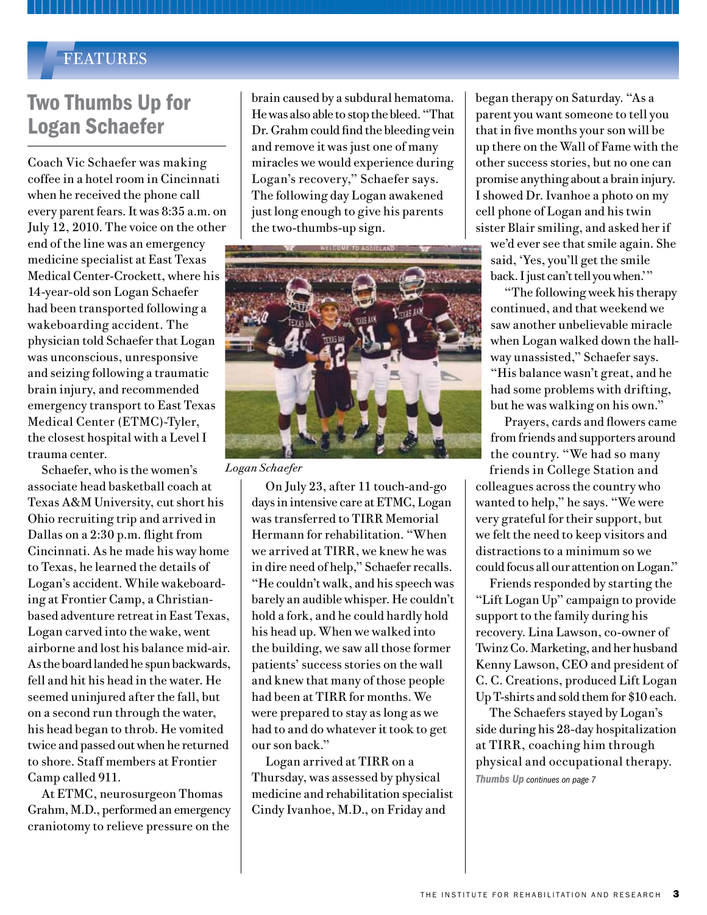# Southwest ADA Center and SEDL Complete the Second in a Series of Research Studies on Disability and Employment Outcomes

Results are being analyzed in a qualitative study of the careers of people with disabilities who work in the healthcare industry. The research, sponsored by TIRR Memorial Hermann's Independent Living Research Utilization (ILRU) program, will position the ILRU's DBTAC Southwest ADA Center to inform the public about how better to recruit, hire and retain people with disabilities in the expanding healthcare industry.

The study is one of three conducted in response to a National Institute on Disability and Rehabilitation Research (NIDRR) requirement that Disability and Business Technical Assistance Centers (DBTACs) invest at least 10 percent of their total budget in research. NIDRR provides funding for the nation's 10 DBTACs.

"NIDRR's goal is to further strengthen the nation's assistance network by expanding its core activities beyond technical assistance and ADA compliance to include research," says Wendy Wilkinson, J.D., director of the Southwest ADA Center. "Examining the experiences of people with disabilities who are employed in healthcare in Texas maximizes the utility of the study's findings for the population we serve, which also includes residents of Arkansas, Louisiana, New Mexico and Oklahoma. Healthcare is a high-growth industry in Texas, and it's also where most of the growth in our region is projected to occur."

Lead researcher Kathleen Murphy, Ph.D., conducted interviews with Texans who work in various sectors of the healthcare industry – employees with disabilities and their colleagues, supervisors and employers. "While we're still in the process of analyzing the data collected from study respondents, we can report some initial

impressions based on a first pass through the responses," says Dr. Murphy, who is project director at SEDL, a private, nonprofit education research, development and dissemination corporation based in Austin, Texas. Her co-investigator in the study is Vinh Nguyen, J.D., attorney and director of legal research at the Southwest ADA Center.

Data were collected from April 2009 through September 2010. During that time, 48 interviews were conducted, including 27 with employees who have disabilities, 12 with people who work with someone with a disability and nine individuals who supervise, employ or manage someone with a disability. The interviewees live in 13 Texas cities and towns, and about half are residents of Houston. Fourteen respondents worked in acute care hospitals – the largest type of employer represented; the remainder worked in various settings ranging from home healthcare to mental health agencies to a prosthetics lab. Their disabilities included mental illness, autoimmune or chronic diseases, sensory or mobility problems, and former substance abuse.

Dr. Murphy reports the following general impressions:

- People tend not to disclose their disabilities – and forfeit the accommodation – if disclosure is not required, or they will change jobs to avoid having to disclose.
- This is especially true for people with mental illness, who may self-accommodate by choosing an occupation where they do not have to disclose or in which they have control over the hours they work.
- In some instances, the experience of disability is marketable. Individuals recovered from chemical dependency, for example, may be sought after by substance-abuse outreach organizations or educational awareness groups.
- There is some expectation among the people interviewed that healthcare is more receptive to the hiring of people with disabilities, but other respondents believed the opposite, especially in occupations that require certifications.
- Colleagues value communication related to disabilities and reported that they would like employers to educate them about disability issues related to etiquette, accommodations and so on.
- Families were almost universally praised for the support they provided members with disabilities.
- In general, respondents were not underemployed; they worked in jobs that match their education and training.

ILRU and SEDL expect to present full results at the 2011 ADA National Network Research Conference being organized by Virginia Commonwealth University's Coordination, Outreach and Research Center (CORC). CORC is funded by NIDRR to coordinate the research conducted by the 10  $DBTACs.$   $\blacklozenge$ 

*For more information on disability research, please call Wendy Wilkinson at 713.520.0232.*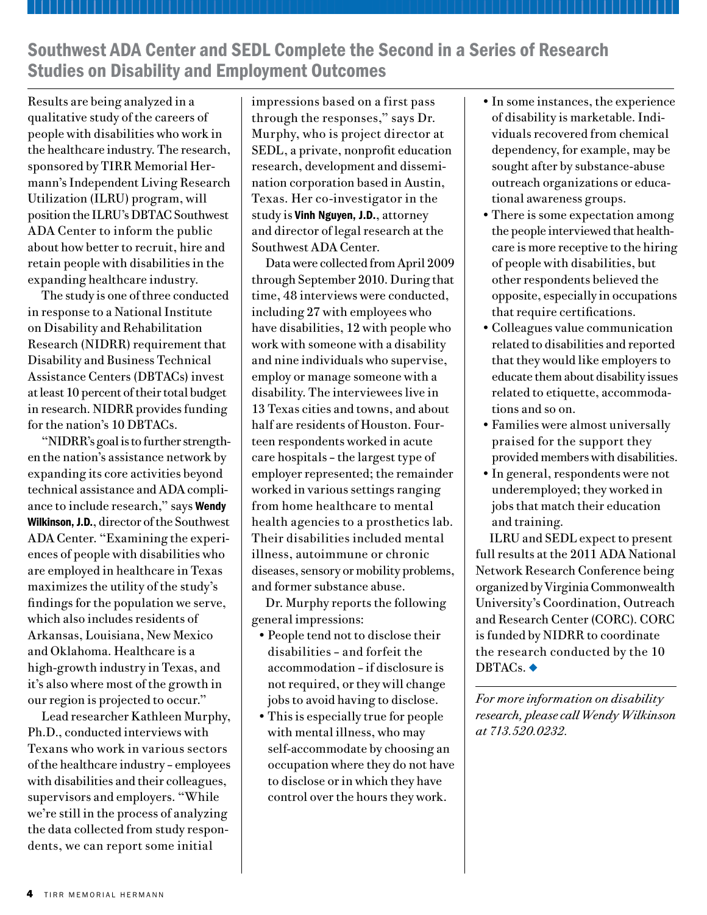# Perceptions of Community Integration in an Ethnically Diverse Sample

A life-altering event, traumatic brain injury (TBI) can have substantial negative impact on the lives of patients and their families, colleagues and friends. Physical, cognitive and psychological impairments can cause aggression, anxiety and depression, and affect close relationships and reintegration into the community.

In an article published in the *Journal of Head Trauma Rehabilitation*, researchers at TIRR Memorial Hermann examined how perceptions of community integration vary among racial and ethnic groups<sup>1</sup>. Led by principal investigator Angelle Sander, Ph.D., director of TIRR's Brain Injury Research Center and an associate professor of physical medicine and rehabilitation at Baylor College of Medicine, the research team interviewed 58 blacks, 57 Hispanics and 52 whites with TBI who were living in the community six months post injury.

R. SANDER URGES P<br>OUTSIDE THE REHAB<br>COMMUNITY WHO THE OUTSIDE THE REHABIL community who treat people with TBI for an unrelated condition to ask simple questions about how the individual is managing home activities and socializing in the community, as well as working.

"The significance of changes that occur in an individual's life after traumatic brain injury usually corresponds to the changes that occur in their participation in roles that are valued by society," Dr. Sander says. "Research studies conducted over several decades have shown that people with TBI are less likely to live independently and less likely to

participate fully in employment, housekeeping activities, parenting and leisure activities. There's also evidence suggesting that the impact of TBI on community participation may be greater for racial and ethnic minorities than for whites."

The researchers used open-ended interview questions and a question-



naire to rate the importance of community integration activities. "We learned that blacks and Hispanics

Angelle Sander, Ph.D. placed more emphasis on domestic activities as measures of community integration than whites did," Dr. Sander says. "For example, blacks and Hispanics rated parenting and other domestic activities just as highly as they did being able to return to work."

The investigators also concluded that feeling integrated into the community relates to aspects of the environment, as much as to involvement in specific activities. "Environmental barriers can be just as important as injury-related changes," she says. Perceived barriers include environmental and social barriers; injury-related cognitive and physical changes; dissimilarities to others; relocation; and financial issues.

"We learned that the accepted definition of successful outcomes or successful community integration does not always coincide with the

definition used by people with TBI," Dr. Sander says. "The lesson for the rehabilitation community is to become more flexible in how we integrate the priorities and perceptions of TBI patients and clients into their rehabilitation programs. We need to make sure that we include among our measures of success those outcomes that TBI patients themselves value and consider important to their quality of life."

Dr. Sander urges physicians outside the rehabilitation community who treat people with TBI for an unrelated condition to ask simple questions about how the individual is managing home activities and socializing in the community, as well as working. "If patients indicate that they are having problems in these areas, you may want to consider referring them to a physical medicine and rehabilitation specialist or to an outpatient rehabilitation program." $\bullet$ 

*For more information on the study, which was funded by the National Institute on Disability and Rehabilitation Research, contact Angelle Sander, Ph.D., at asander@bcm.edu.*

<sup>1</sup> Sander AM, Pappadis MR, Clark AN, Struchen MA. Perceptions of Community Integration in an Ethnically Diverse Sample. *Journal of Head Trauma Rehabilitation*. 2010:e-publication ahead of print.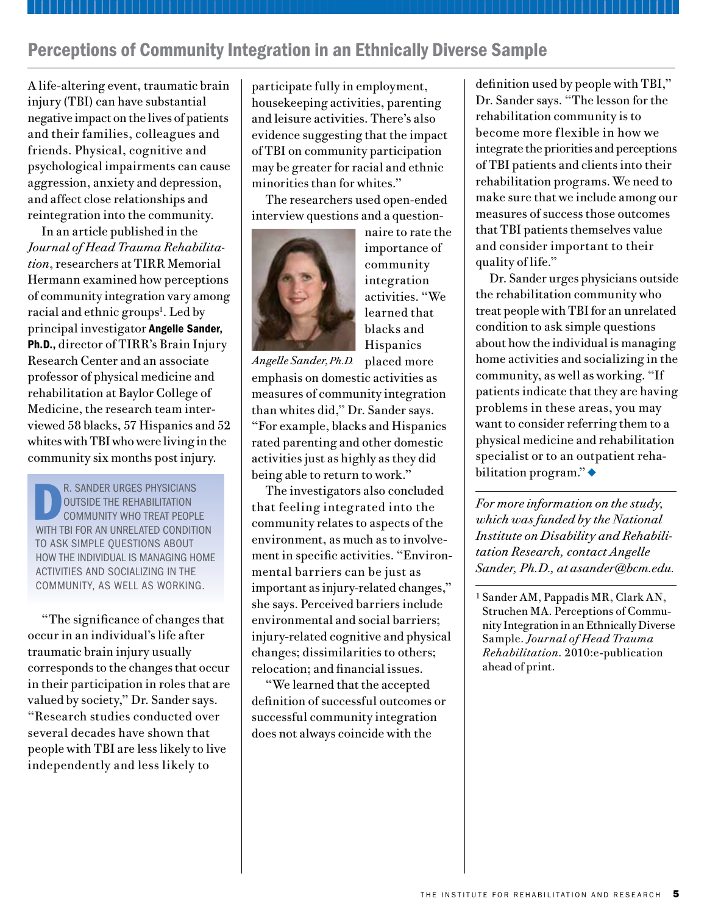# The Role of Omega Fatty Acids in Neurological Recovery

Research has shown that omega fatty acids (OFAs) are beneficial in the treatment of various conditions, including hyperlipidemia, coronary artery disease and basic inflammation processes. They are also known to be involved in the production of bioactive molecules, including leukotrienes, prostaglandins and thromboxanes. In addition, researchers have shown that OFA content in cell membranes increases fluidity and allows for enhanced cellular function, homeostatic regulation and tissue regeneration<sup>1</sup>, and that this fluidity translates to enhanced biochemical function.2 In research conducted during his residency at TIRR Memorial Hermann, Christian Shenouda, M.D., hypothesized that omega fatty acids have the potential for broader use in the facilitation of neurological recovery.

"Initially, I set out to do a metaanalysis on the role of omega fatty acids in cognition," says Dr. Shenouda, who will complete an acquired brain injury fellowship at the University of Washington in Seattle in June 2011. "But I discovered that there were inherent flaws in these studies as cognition is an umbrella term that encompasses memory, concentration, judgment and many other functions. In the process of researching the effects of omega fatty acids, I came across literature suggesting that they facilitate the development of nerve cells in spinal cord injury and traumatic brain injury patients. So the question was, 'Does the sprouting of new nerve cells lead to increased cognition?' I set out to examine whether we could make that leap."

In a meta-analysis of studies done over the past decade, Dr. Shenouda

examined past, current and possible future directions in the use of omega fatty acids in neurological recovery. He concluded that the substitution of the OFA docosahexaenoic acid (DHA) for arachadonic acid (AA) in cellular membranes has a drastic effect on neural tissue at various sites. "Studies of cerebral ischemia show decreased lesion size and improved histological outcomes," he says. "These compounds were also able to induce neurogenesis in hippocampal cultures, with neurons showing increased length and branching. This information, coupled with their ability to decrease inflammation via the AA pathway, suggests that omega fatty acids may be ideal candidates for inclusion in a treatment plan for brain injury."

He also notes that OFA research has been extended to the setting of acute

I n the process of researching the effects of omega fatty acids, **DR. SHENOUDA CAME ACROSS** literature suggesting that they facilitate the development of nerve cells in spinal cord injury and traumatic brain injury patients.

spinal cord injury. "Animal models given omega fatty acids showed decreased lesion size and better functional outcomes with administration by mouth and intravenously," he says. "Because omega fatty acids have little or no side effects, they have potential for use as first-line agents at the onset of injury, if not as an adjunct to current therapies."

Dr. Shenouda suggests that future research might examine the benefits of each type of omega fatty acid – particularly DHA, eicosapentaenoic

acid (EPA) and  $\alpha$ -Linolenic acid (ALA) – and include clinical trials. "Data exist that show the potential health benefit of long-chain omega fatty acids, but at this point we don't have any evidence from human trials," he says.

For the average consumer of OFAs, Dr. Shenouda advises reading the labels. "If you're going to go to the trouble of taking omega fatty acids as a supplement, make sure the brand you buy includes high amounts of the most potent OFAs – EPA and DHA. Many supplements contain a majority of ALA and while there's some conversion of ALA to the more powerful EPA and DHA, the interconversion is limited."

Dr. Shenouda's paper "Omega Fatty Acids in Neurological Recovery" was recognized by the Baylor College of Medicine/The University of Texas Health Science Center at Houston (UTHealth) Medical School Alliance for Physical Medicine and Rehabilitation as the Manuscript of the Year for his graduating class and has been submitted for publication.  $\blacklozenge$ 

- <sup>1</sup> Kidd PM. Omega-3 DHA and EPA for Cognition, Behavior, and Mood: Clinical Findings and Structural-Functional Synergies with Cell Membrane Phospholipids. Alternative Medicine Review 2007;12:3, 207-227.
- <sup>2</sup> Else PL, Hulbert AJ. Membranes as Metabolic Pacemakers. Clinical and Experimental Pharmacology and Physiology 2003;30:559-564.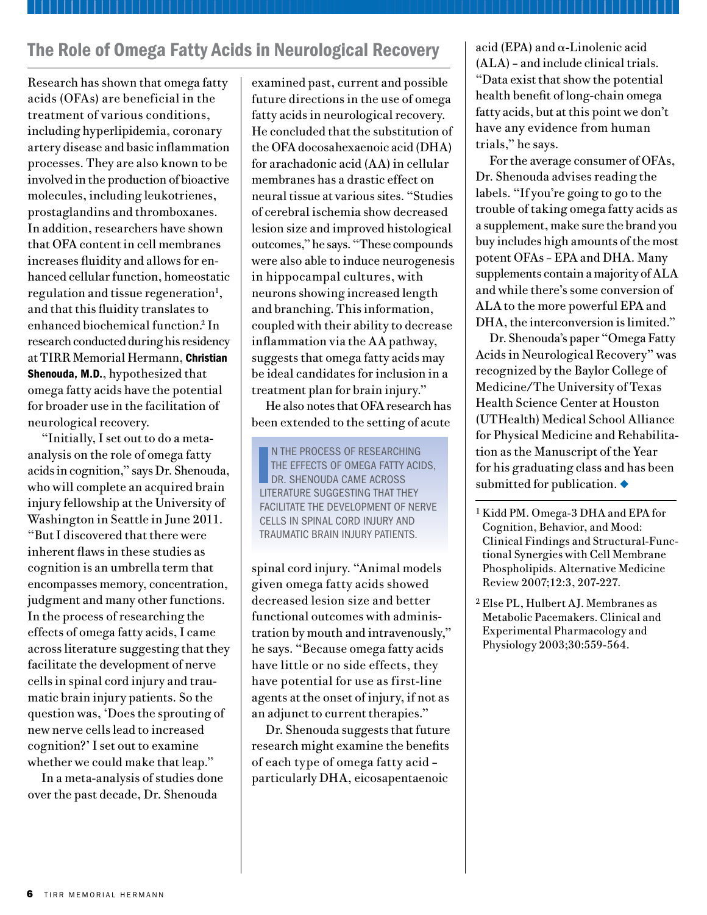### *Funding continued from page 1*

Located in southern California, the Craig H. Neilson Foundation was established in 2002 to find a cure for spinal cord injury. The foundation supports cutting-edge research that seeks to understand the biological basis for recovery of function after SCI and translate these findings to the clinical setting; clinical research to develop new treatments for those

living with SCI; and innovative rehabilitation programs for people living with SCI throughout the United States.

The Houston-based Staman Ogilvie Fund for Spinal Cord Injury Recovery, Rehabilitation and Research was created to assist individuals whose lives have been disrupted by spinal cord injury (SCI), brain trauma or neurological disorders. The fund's

objective is to raise \$10 million for the development of new technologies to increase movement for those with SCI through regenerative research, rehabilitation, robotics and adaptive technology. To date, more than \$5 million has been contributed toward the goal, which will benefit TIRR and the Mischer Neuroscience Institute at Memorial Hermann-Texas Medical Center.  $\triangleleft$ 

The support of family and friends helped keep him optimistic. During his stay, Texas A&M head football coach Mike Sherman visited the hospital and presented Logan with an official 12th Man jersey, inviting him to be an honorary captain at the first game of the season.

On August 27, 2010, 39 days after his accident, Logan walked out of TIRR. A week later on September 4, five days after his 15th birthday, he was introduced as honorary captain at the Texas A&M-Stephen F. Austin State University football game. A video shown on the football field's big screen chronicled Logan's journey from coma to Kyle Field.

"The image of Logan giving two thumbs up on the big video board is indelibly engraved in my mind," his father says. "He's tougher than anyone I've ever seen, and I've been coaching for 25 years. Logan has a great work ethic, tremendous inner strength and an outstanding attitude. He knows what hard work is because that's the way we live in our house. We were outside the box with therapy within two weeks. He didn't recover overnight, but every day he took one step further.

"The doctors, nurses, therapists and techs at TIRR are amazing," he adds. "At night there's a peace that's comforting, but every morning that place comes alive. By 7:30 it's rockin' and rollin' until 5:30 or 6 in the evening. They are an incredible group of caregivers with enormous enthusiasm for their work." Thumbs Up continued from page 3<br>
The support of family and friends and techs at TIRR are amazing," he helped keep him optimistic. During adds. "At night there's a peace that's

> On October 11, Kenny and Lina Lawson held a press conference in College Station and presented two checks – each for \$3,576 – to East Texas Medical Center–Tyler and the Memorial Hermann Foundation. The funds were raised through the Lift Logan Up campaign. "When Lina and Kenny asked us what we wanted to do with the profits, we said let's give back to the people who have given so much to us," Schaefer says.

> In early November 2010, Logan was cleared to return to baseball in the spring. On Friday, November 12, he ran his first mile with his father after the accident. "It was a pretty special run, knowing that just months ago he was fighting for his life. First you're praying for his life. Then you're praying for his quality of life. At one time I thought we might still be at TIRR today. But with the greatest of care and by the grace of God, Logan made an unbelievable recovery. He is our miracle! We are so thankful for everyone who played a role in his rehab." $\bullet$

Katy Hayes, a mother of three who had all four limbs amputated after contracting a rare flesh-eating bacteria, underwent inpatient therapy at TIRR Memorial Hermann to facilitate use of her upper- and lower-limb prostheses.

http://www.khou.com/news/local/ Kingwoods-miracle-mom-Katy-Hayes-learning-to-live-withoutlimbs-106085428.html $\blacklozenge$ 

## *I*IN PRINT

## *Bold print indicates that the person is affiliated with TIRR.*

Hart T, Sherer M, Temkin N, Whyte J, Dikmen S, Heinemann AW, Bell K. Participant-proxy agreement on objective and subjective aspects of societal participation following traumatic brain injury. *Journal of Head Trauma Rehabilitation* 2010;25:339-348.

Sady MD, Sander AM, Clark AN, Sherer M, Nakase-Richardson R, Malec JF. Relationship of pre-injury caregiver and family functioning to community integration in adults with traumatic brain injury. *Archives of Physical Medicine and Rehabilitation*.  $2010:91:1542-50.$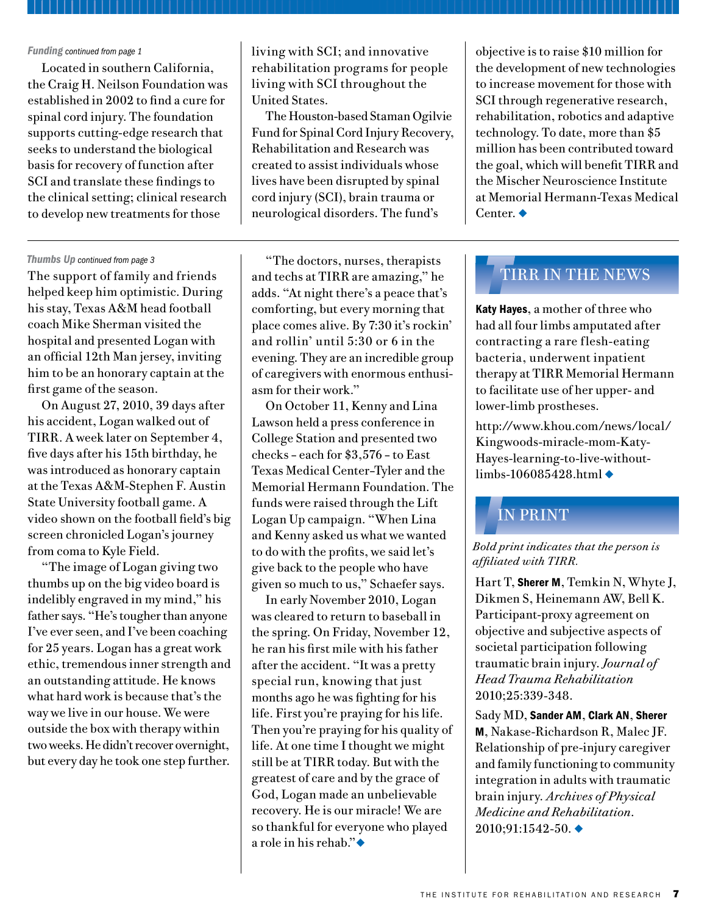## *O*ON THE MOVE

TIRR and Houston Metro Partner to Better Serve Riders with Disabilities

Representatives from Houston Metro have begun discussions with social workers, therapists and senior leadership at TIRR Memorial Hermann with the goal of creating positive public transportation experiences for riders with disabilities.

Led by TIRR clinical social worker Teresa C. Del Castillo, L.C.S.W., L.M.F.T.,



and Art Jackson, director of transportation programs and customer care at Houston Metro, the initiative will involve periodic Metro display bus visits

to the hospital for the use of inpatients during therapy. *Teresa Del Castillo, L.C.S.W., L.M.F.T.*

"All Metro buses are accessible with ramps or lifts and securement areas to accommodate riders in wheelchairs," says Mary Ann Dendor, ADA administrator for Houston Metro. "But for new riders with disabilities, boarding the bus and maneuvering to the securement area can be intimidating. By working with TIRR patients before they go on the road with us, we hope to remove all the unknowns associated with using public transportation."

"Houston Metro transports thousands of customers with disabilities every day, and we work hard to make sure their transit experiences are positive," says Jackson, a former TIRR patient whose profile is among those hung on the hospital's Wall of

Fame. "We're grateful to TIRR for giving us a great opportunity to be creative and look outside the box for new ways to help our riders with disabilities."

Del Castillo says TIRR and Houston Metro plan to have the program up and running during the first quarter of 2011 for patients who would like to use Houston Metro's bus and light rail service after their discharge. "The program gives both partners an opportunity to continue to raise each other's awareness of issues facing riders with disabilities. Having access to transportation is paramount to successful community integration."

Also in the planning stages is a spring "Accessibility Day," to be sponsored jointly by the two organizations for TIRR patients and their families. Metro will provide a bus and a paratransit van; staff members will be on hand to provide information about local bus routes, as well as METRORail and METROLift services.

TIRR Memorial Hermann Hosts Inaugural Research Luncheon

Joel Stein, M.D., physiatrist-in-chief at New York-Presbyterian Hospital in New York City, delivered the first Charles C. Beall Lecture on November 9, 2010, at the inaugural TIRR Memorial Hermann Research Luncheon in Houston. The luncheon was the first of a series of annual donor events focused on research under way at TIRR.

About 50 TIRR donors, patients, family members, physicians and scientists attended the event, which was hosted by TIRR supporters



Lynda and Jim Winne; Carl Josehart, CEO: Gerard Francisco, M.D., CMO; Mark Sherer, Ph.D., Director of Research; and the

*Jim and Linda Winne*

Memorial Hermann Foundation. Beall, who died in February 2010,

served TIRR for 10 years as CEO and for 29 years as a board member. Dr. Stein, whose address was entitled

"The Real Iron Man: Advancing Rehabilitation through Technology," is professor and chair of the department of Rehabilitation Medicine at the Columbia University College of Physicians and Surgeons, and professor and chief of the division of Rehabilitation Medicine at Weill Cornell Medical College in New York City.

Patient Care Unit Renovations Completed

The redesign of TIRR Memorial Hermann's oldest remaining patient care unit was completed in two phases in December and January. The renovation added four private rooms to serve brain injury patients.

Two four-bed wards were converted into semiprivate rooms, therapy space and a conference room. "In addition to adding patient rooms, our focus during the renovation was to increase workflow efficiency," says Wes Tidwell, director of hospital operations. Memorial Hermann invested approximately \$1 million in the renovation. $\bullet$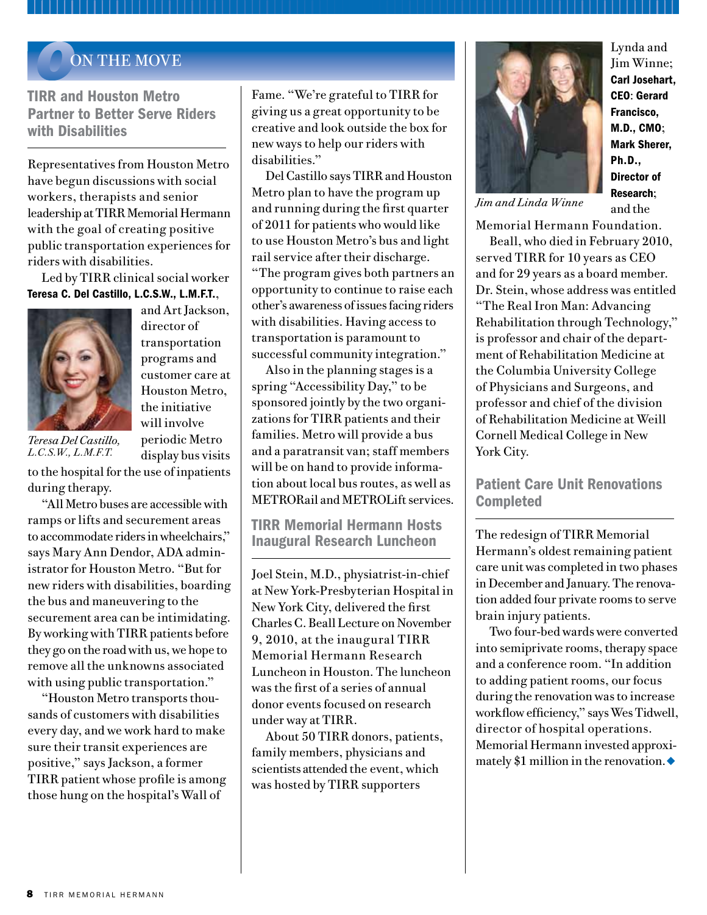

## Ann Gutierrez Receives 2010 ARN Award

## The Association of Rehabilitation



Nurses (ARN) has recognized TIRR Memorial Hermann nurse Ann Gutierrez, R.N., C.R.R.N., with the 2010 Educator Role Award for her contributions to

*Ann Gutierrez, R.N., C.R.R.N.*

the advancement of rehabilitation nursing care.

"We are extremely proud of Ann," says chief nursing officer Mary Ann Euliarte, R.N. "She truly deserves this award. Her entire career has been devoted to the practice and advancement of rehabilitation nursing, patient care and education."

Nominated by her colleague, Linda Arfele, R.N., Gutierrez was described as an exceptional nurse who has mentored and inspired her peers in all aspects of rehabilitation nursing. ARN presented the award to Gutierrez at their annual conference in Orlando, Florida.

UTIERREZ WAS DESCRIBED AS an exceptional nurse who has mentored and inspired her peers in all aspects of rehabilitation nursing.

"I feel so blessed and honored to receive this award," says Gutierrez, a rehabilitation nurse for 32 years. "As a rehab nurse, I am able to take part in changing a patient's life. I help patients progress from not being able to feed themselves or take a step to being able to walk again. I truly love what I do."

## Barry Smith Receives the Krusen Lifetime Achievement Award

TIRR consulting physician Barry S. Smith, M.D., received the 2010 Frank H. Krusen, M.D., Lifetime Achievement Award at the American Academy of Physical Medicine & Rehabilitation (AAPM&R) annual meeting held in November in Seattle. The award, which is the academy's highest honor, recognizes physical medicine and rehabilitation specialists who have made outstanding contributions to the field in patient care, research, education and administration, and have served the profession through involvement in AAPM&R activities. Recipients of the gold medallion are selected based on their outstanding and unique contributions to the specialty.

Lourdes Cuellar, R.Ph., F.A.S.H.P., was co-chair of the Access to Healthcare



section for the Texas Statewide Health Coordinating Council's proposed State Health Plan for 2011-2016. The council has chosen to study and evaluate

*Lourdes Cuellar, R.Ph., F.A.S.H.P.*

several topics that directly affect healthcare and workforce issues.

### Cindy B. Ivanhoe, M.D., was invited to



serve on the American Academy of Physical Medicine and Rehabilitation Task Force on Mild Traumatic

She also served as co-chair *Cindy Ivanhoe, M.D.*

of the Ipsen Pharmaceutical Advisory Board on Cervical Dystonia in Seattle on Nov. 1-2, 2010.

Joni McGhee, O.T./L., was recognized with a service award by her colleagues in the Texas Occupational Therapy Association (TOTA) for her role as the appointed TOTA state legislative chair, a position she held for the past two years. The award was presented at TOTA's Mountain Central Annual Conference held in Sugar Land, Texas,

in October 2010.



Mark Sherer, Ph.D., was appointed as section editor for the *Archives of Physical Medicine and Rehabilitation*.

Lisa Wenzel, M.D.,

was named chair of the Christopher and Dana Reeve Foundation NeuroRecovery Network Health Committee in July 2010. $\triangleleft$ 

Brain Injury.

*Monique Pappadis, C.H.E.S., C.C.R.P.*

*Mark Sherer, Ph.D.* 

*Lisa Wenzel, M.D.*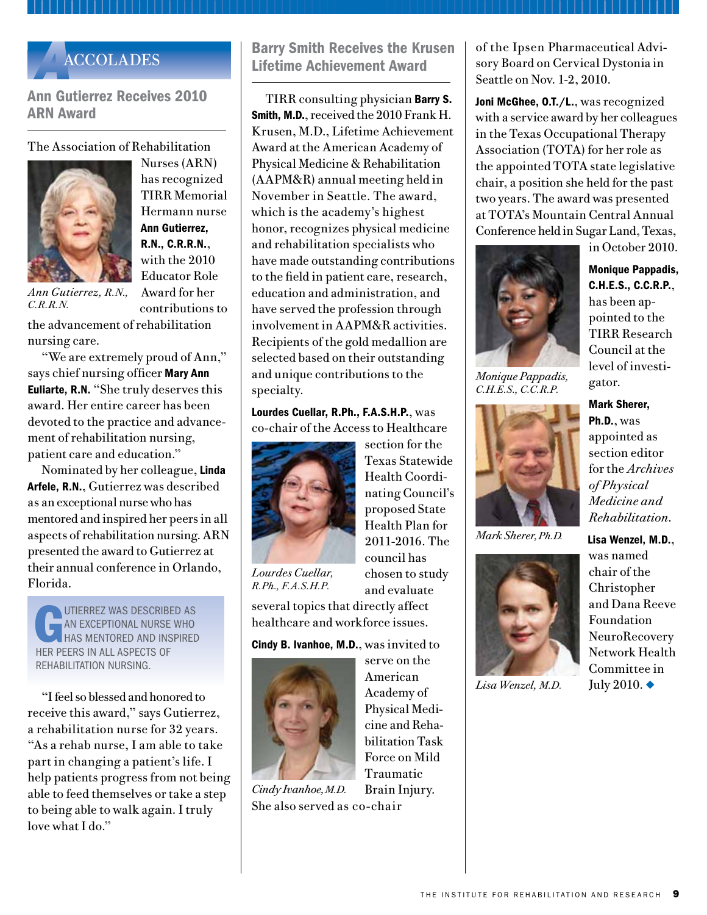# *O*ON THE PODIUM

Atkinson D. Interrelation of Trunk Scale Scores and Functional Outcome Scores. Poster presented at the 4th National Spinal Cord Injury Conference, Niagara Falls, Ontario, Oct. 28, 2010.

Clark AN. Traumatic Brain Injury, Secondary Issues and Accommodations. Presented at Expanding Horizons: 2010 Institute on Learning Differences Conference, Cypress, Texas, Nov. 12. 2010.

Clark AN, Struchen MA. Interpersonal Process Recall to Improve Social Communication. Presented at the American Congress of Rehabilitation Medicine Annual Meeting, Montreal, Oct. 21-24, 2010.

Davis K, Gutierrez A. What's in Your Toolbox; Utilizing Advanced Modalities in an Inpatient Rehabilitation Setting. Posters presented at the Association of Rehabilitation Nurses Conference, Orlando, Fla., Sept. 29-Oct. 3, 2010.

Davis K, Roberts D. Can All the Information Fit on One Arm? Poster presented at the Association of Rehabilitation Nurses Conference, Orlando, Fla., Sept. 29-Oct. 3, 2010.

Donovan WH. Delivered the Sir Ludwig



Guttman Memorial Lecture at the Annual Scientific Meeting of the International Spinal Cord Society (ISCoS), New Delhi, India, Oct. 30,

2010. Manuscript to be published in *Spinal Cord*. *William H. Donovan, M.D.*

Dijkers M, Bushnik T, Heinemann A, Libin A, Sherer M. Assessing the Quality and Applicability of Systematic Reviews – A Systematic Approach. Symposium presented to the meeting of the American Congress of Rehabilitation Medicine, Montreal, Oct. 21, 2010.

Euliarte MA, Ramirez R. Recruitment and Retention Challenges and Strategies in the Rehabilitation Setting. Poster presented at the Association of Rehabilitation Nurses Conference, Orlando, Fla., Sept. 29-Oct. 3, 2010.

Gettleman M, Kern M, Lantz B, Lantz E. Planes, Trains and Automobiles: Travel After Spinal Cord Injury. Workshop presented at the 4th National Spinal Cord Injury Conference, Niagara Falls, Ontario, Oct. 28, 2010.

Giacino J, Whyte J, Bell K, Brockway J, Sherer M. An Experience-based Discussion of Challenges to Conducting Multi-center Clinical Trials in Rehabilitation. Symposium presented to the meeting of the American Congress of Rehabilitation Medicine, Montreal, Oct. 20, 2010.

Graves D. All Limbs Lead to the Trunk: The Rationale and Methods in the Development of the Thoracic-Lumbar Scale. Presented as the keynote address at the 4th National Spinal Cord Injury Conference, Niagara Falls, Ontario, Oct. 28, 2010.

Graves D. The Trunk Scale: Thoracic-Lumbar Control Scale for Use in Spinal Cord Injury Research. Presented at NeuroTalk 2010, Singapore, July 28, 2010.

Henry E. Management of the Patient with Spinal Cord Injury. Presented at the Alabama Occupational Therapy Association Annual Conference, Orange Beach, Ala., Sept. 10-12, 2010.

Henry E, Johnston C. Challenge Yourself, Challenge Your Patient: Play Softball. Presented at the Texas Occupational Therapy Association's Mountain Central Annual Conference, Sugar Land, Texas, Oct. 2010.

Ifejika-Jones N, Francisco GE, Grotta JC, Harun N. Urinary Track Infection is

a Negative Predictor of Post-stroke Disposition: Findings from The University of Texas Health Science Center's Houston Stroke Registry. Poster presented at the American Academy of Physical Medicine & Rehabilitation Annual Conference, Seattle, Nov. 3-7, 2010.

Ivanhoe CB. Updates on Spasticity Assessment and Management. Advisory Board – Intrathecal Baclofen Therapy: Clinical Outcomes Updates in Management; Advisory Board – Ultrasound-Guided Injection. Sponsored by the American Academy of Physical Medicine & Rehabilitation, Seattle, Nov. 2-3, 2010.

Ivanhoe CB. Incorporating Neuromodulation Therapies into Practice. Presented at the American Academy of Physical Medicine & Rehabilitation Annual Conference, Seattle, Nov. 3-7, 2010.

Ivanhoe CB. Xeomin Product Profile. Presented at Merz Product Theater, Seattle, Nov. 5, 2010.

Li S, Chang S, Francisco GE. Botulinum Toxin Type A Injection Improves Voluntary Motor Control After Stroke: A Case Report. Poster presented at the American Academy of Physical Medicine & Rehabilitation Annual Conference, Seattle, Nov. 3-7, 2010.

Martinez P. Rehabilitation Model of Care: Working Together To Show We Care. Poster presented at the Association of Rehabilitation Nurses Conference, Orlando, Fla., Sept. 29-Oct. 3, 2010.

Mekky M. Barriers to Adequate Nutrition in the Spinal Cord Injury Population. Presented at the American Speech-Language-Hearing Association Convention, Philadelphia, Nov. 18-20, 2010.

*On the Podium continues on page 11*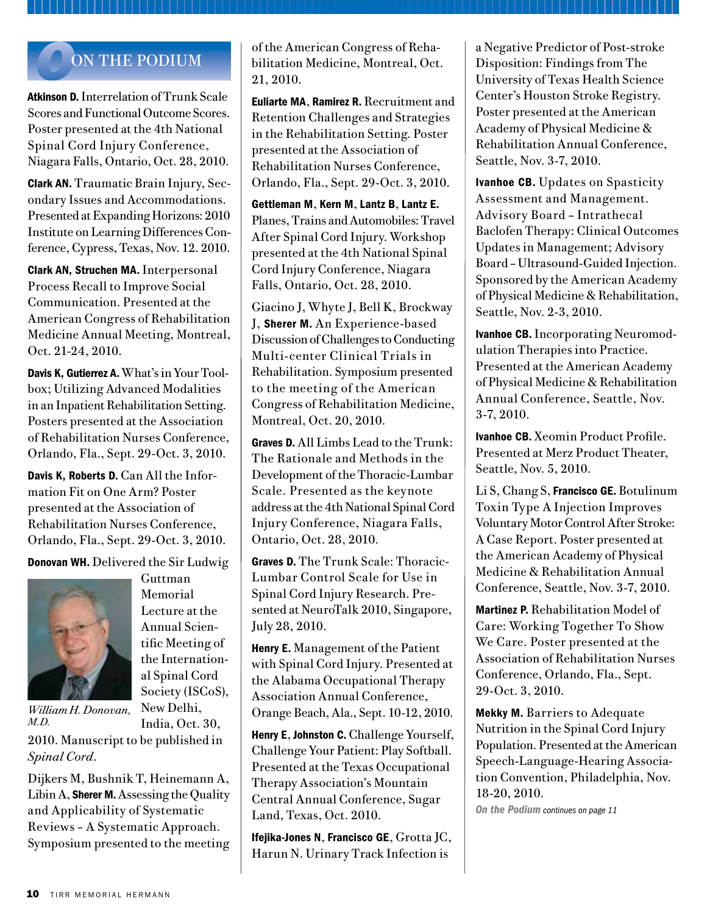### *On the Podium continued from page 10*

Nakase-Richardson R, Sherer M, Seel R, Hart T, Hanks R, Arango-Lasprilla JC, Yablon S, Sander AM, Walker W, Grote M, Kittleson J, Hammond F. Comparison of the Russell and Mississippi Post-traumatic Amnesia Classifications Intervals in Predicting One-year Productivity: An Analysis of the Traumatic Brain Injury Model System National Database. Paper presented to the meeting of the American Congress of Rehabilitation Medicine, Montreal, Oct. 22, 2010.

Pappadis MR, Sander AM. Impact of Traumatic Brain Injury on Quality of Life and Self-Concept: Perspectives of Survivors in an Ethnically Diverse Sample. Presented at the American Congress of Rehabilitation Medicine Annual Meeting, Montreal, Oct. 21-24, 2010.

Potter E, Lantz E, Laredo R. Incorporating Clinicians with Disabilities in the Rehabilitation Team. Presented at the Texas Occupational Therapy Association's Mountain Central Annual Conference, Sugar Land, Texas, Oct. 2010.

Sherer M. Evaluation of Posttraumatic Confusion/Amnesia and Implications for Outcomes. Invited presentation to the 31st Annual Neurorehabilitation Conference on Traumatic Brain Injury, Stroke, and Neurologic Disorders, Boston, Nov. 6, 2010.

Sherer M. Assessment and Treatment of Impaired Self-Awareness. Invited presentation to the 31st Annual Neurorehabilitation Conference on Traumatic Brain Injury, Stroke, and Neurologic Disorders, Boston, Nov. 6, 2010.

Sherer M. Post-traumatic Amnesia: Measurement and Relationship to TBI Outcome. Invited presentation to residents at the Baylor College of Medicine/University of Texas Health Science Center at Houston (UTHealth) Medical School Alliance for Physical

Medicine and Rehabilitation, Houston, Sept. 17, 2010.

**Sherer M.** Acute Confusion in Patients with Acquired Brain Injury. Invited presentation to the clinical staff of Methodist Rehabilitation Center, Jackson, Miss., Sept. 20, 2010.

**Sherer M.** Phenomenology and Prognostic Significance of Acute Confusion in Early Recovery from Traumatic Brain Injury. Invited presentation to the Center for Translational Injury Research, The University of Texas Health Science Center, Houston, Oct. 8, 2010.

**Sherer M.** Assessment and Management of Confusion; Self-Awareness; The National TBI Model Systems Research Program; Prediction of Outcome After TBI; Symptoms of TBI That Are of Concern to Persons with TBI and Family Members. Presentations made at the Genesis Rehabilitation Conference on Brain Injury, Davenport, Iowa, Oct. 16, 2010.

**Sherer M.** Update on the TBI Model Systems Research Program. Presented to the TIRR medical staff and residents, Houston, Oct. 18, 2010.

**Staats Z. Promoting Function through** Manual Wheelchair Seating and Mobility. Presented at the Texas Occupational Therapy Association's Mountain Central Annual Conference, Sugar Land, Texas, Oct. 2010.

Struchen MA, Davis LC, Clark AN, Mazzei D, Bogaards J, Sander AM. Design and Implementation of a Social Peer Mentoring Program for Persons with Traumatic Brain Injury. Presented at the American Congress of Rehabilitation Medicine Annual Meeting, Montreal, Oct. 21-24, 2010.

**Thomas H.** How Inpatient Length of Stay Impacts Spiritual and Emotional Wellness. Poster presented at the 4th National Spinal Cord Injury Conference, Niagara Falls, Ontario, Oct. 29-30, 2010.

Thomas L, Thayer B. A Nurse-Initiated Program for Post-Discharge Telephone Contact. Poster presented at the Association of Rehabilitation Nurses Conference, Orlando, Fla., Sept. 29- Oct. 3, 2010.

Tilton S, Gettleman M. Adolescent Rehabilitation: Collaboration among Speech-Language Pathologists from the Hospital to Home. Presented at the American Speech-Language-Hearing Association Convention, Philadelphia, Nov. 18-20, 2010.

Tully P, Gomez G. Wheelchair Satisfaction: Collaboration for a Successful Outcome. Presented at the Texas Occupational Therapy Association's Mountain Central Annual Conference, Sugar Land, Texas, October 2010.

Tully P, Lantz E. Wheelchair Seating and Mobility: Addressing Various Diagnostic Groups. Presented at the Texas Occupational Therapy Association's Mountain Central Annual Conference, Sugar Land, Texas, October 2010.

Wenzel L. Orthostatic Hypotension and Quality of Life Outcomes after Locomotor Training in Incomplete Spinal Cord Injury (co-author). Presented at the Christopher and Dana Reed Foundation Symposium, Chandler, Ariz., Dec. 10, 2010.

Wiggins L. Stress, Health and Coping After Illness or Trauma. Presented at the Texas Occupational Therapy Association's Mountain Central Annual Conference, Sugar Land, Texas, October 2010.

Yablon S, Sherer M, Nakase-Richardson R, Nick T. Amantadine Hydrochloride for Treatment of Symptoms of the Posttraumatic Confusional State: A Randomized, Double-blind, Placebocontrolled Trial. Presented to the meeting of the American Congress of Rehabilitation Medicine, Montreal, Oct. 22, 2010.  $\blacklozenge$